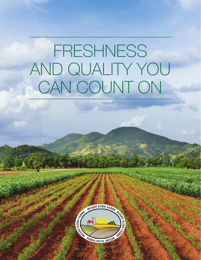# FRESHNESS AND QUALITY YOU CAN COUNT ON

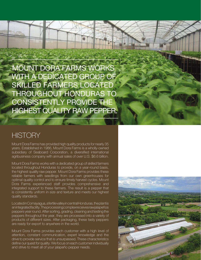MOUNT DORA FARMS WORKS WITH A DEDICATED GROUP OF SKILLED FARMERS LOCATED THROUGHOUT HONDURAS TO CONSISTENTLY PROVIDE THE HIGHEST QUALITY RAW PEPPER.

#### **HISTORY**

Mount Dora Farms has provided high quality products for nearly 35 years. Established in 1986, Mount Dora Farms is a wholly-owned subsidiary of Seaboard Corporation, a diversified international agribusiness company with annual sales of over U.S. \$6.6 billion.

Mount Dora Farms works with a dedicated group of skilled farmers located throughout Honduras to provide, on a year-round basis, the highest quality raw pepper. Mount Dora Farms provides these reliable farmers with seedlings from our own greenhouses for optimal quality control and to ensure timely harvest cycles. Mount Dora Farms experienced staff provides comprehensive and integrated support to these farmers. The result is a pepper that is consistently uniform in size and texture and meets our highest quality standards.

Located in Comayagua, a fertile valley in central Honduras, the plant is an integrated facility. The processing complex receives raw jalapeños peppers year round. After sorting, grading, cleaning and testing the peppers throughout the year, they are processed into a variety of products of different sizes. After packaging, these tasty peppers are ready for export to anywhere in the world.

Mount Dora Farms provides each customer with a high level of attention, constant communication, expert knowledge and the drive to provide service that is unsurpassed. These characteristics define our quest for quality. We focus on each customer individually and strive to meet all of your jalapeño pepper needs.

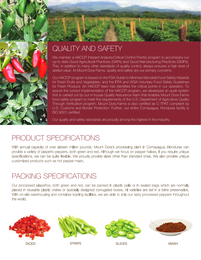



# QUALITY AND SAFETY

We maintain a HACCP (Hazard Analysis/Critical Control Points) program to accompany our up-to-date Good Agricultural Practices (GAPs) and Good Manufacturing Practices (GMPs). This, in addition to many other standards of quality control, always ensures a high level of added value. At Mount Dora Farms, quality and safety are our primary concerns.

Our HACCP program is based on the FDA Guide to Minimize Microbial Food Safety Hazards for Fresh Fruits and Vegetables, and the IFPA and WGA Voluntary Food Safety Guidelines for Fresh Produce. An HACCP team has identified the critical points in our operation. To assure the correct implementation of the HACCP program, we developed an audit system that is carried out by our in-house Quality Assurance team that enables Mount Dora Farms food safety program to meet the requirements of the U.S. Department of Agriculture Quality Through Verification program. Mount Dora Farms is also certified as C-TPAT compliant by U.S. Customs and Border Protection. Further, our entire Comayagua, Honduras facility is ISO 9001 certified.

Our quality and safety standards are proudly among the highest in the industry.

### PRODUCT SPECIFICATIONS

With annual capacity of over sixteen million pounds, Mount Dora's processing plant in Comayagua, Honduras can provide a variety of jalapeño peppers, both green and red. Although we focus on pepper halves, if you require unique specifications, we can be quite flexible. We proudly provide sizes other than standard ones. We also provide unique customized products such as hot pepper mash.

## PACKING SPECIFICATIONS

Our processed jalapeños, both green and red, can be packed in plastic pails or in sealed bags which are normally placed in reusable plastic crates or specially designed corrugated boxes. All varieties are set in a brine preservative. With on-site warehousing and container loading facilities, we are able to ship our tasty processed peppers throughout the world.